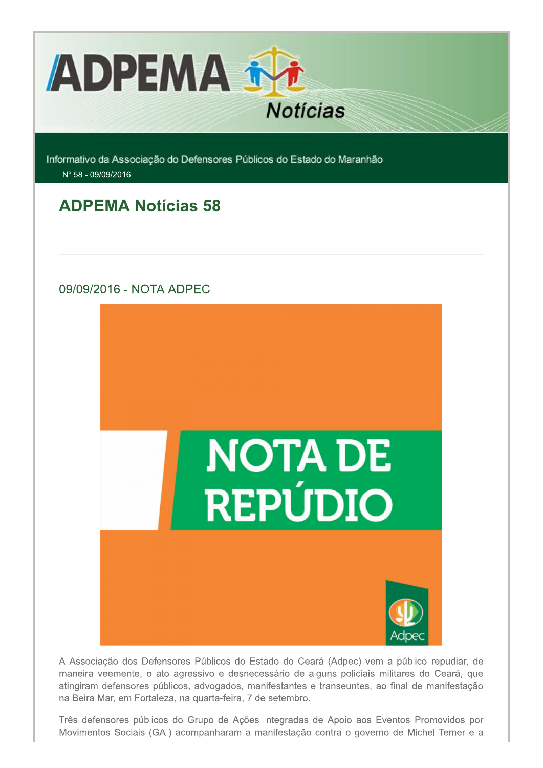

Informativo da Associação do Defensores Públicos do Estado do Maranhão Nº 58 - 09/09/2016

# **ADPEMA Notícias 58**

# 09/09/2016 - NOTA ADPEC



A Associação dos Defensores Públicos do Estado do Ceará (Adpec) vem a público repudiar, de maneira veemente, o ato agressivo e desnecessário de alguns policiais militares do Ceará, que atingiram defensores públicos, advogados, manifestantes e transeuntes, ao final de manifestação na Beira Mar, em Fortaleza, na quarta-feira, 7 de setembro.

Três defensores públicos do Grupo de Ações Integradas de Apoio aos Eventos Promovidos por Movimentos Sociais (GAI) acompanharam a manifestação contra o governo de Michel Temer e a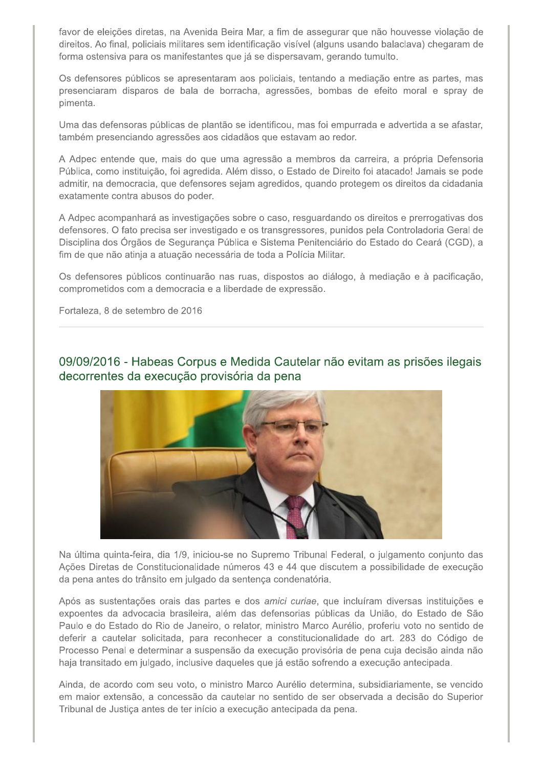favor de eleições diretas, na Avenida Beira Mar, a fim de assegurar que não houvesse violação de direitos. Ao final, policiais militares sem identificação visível (alguns usando balaclava) chegaram de forma ostensiva para os manifestantes que já se dispersavam, gerando tumulto.

Os defensores públicos se apresentaram aos policiais, tentando a mediação entre as partes, mas presenciaram disparos de bala de borracha, agressões, bombas de efeito moral e spray de pimenta.

Uma das defensoras públicas de plantão se identificou, mas foi empurrada e advertida a se afastar, também presenciando agressões aos cidadãos que estavam ao redor.

A Adpec entende que, mais do que uma agressão a membros da carreira, a própria Defensoria Pública, como instituição, foi agredida. Além disso, o Estado de Direito foi atacado! Jamais se pode admitir, na democracia, que defensores sejam agredidos, quando protegem os direitos da cidadania exatamente contra abusos do poder.

A Adpec acompanhará as investigações sobre o caso, resguardando os direitos e prerrogativas dos defensores. O fato precisa ser investigado e os transgressores, punidos pela Controladoria Geral de Disciplina dos Órgãos de Segurança Pública e Sistema Penitenciário do Estado do Ceará (CGD), a fim de que não atinja a atuação necessária de toda a Polícia Militar.

Os defensores públicos continuarão nas ruas, dispostos ao diálogo, à mediação e à pacificação, comprometidos com a democracia e a liberdade de expressão.

Fortaleza, 8 de setembro de 2016

09/09/2016 - Habeas Corpus e Medida Cautelar não evitam as prisões ilegais decorrentes da execução provisória da pena



Na última guinta-feira, dia 1/9, iniciou-se no Supremo Tribunal Federal, o julgamento conjunto das Ações Diretas de Constitucionalidade números 43 e 44 que discutem a possibilidade de execução da pena antes do trânsito em julgado da sentença condenatória.

Após as sustentações orais das partes e dos amici curiae, que incluíram diversas instituições e expoentes da advocacia brasileira, além das defensorias públicas da União, do Estado de São Paulo e do Estado do Rio de Janeiro, o relator, ministro Marco Aurélio, proferiu voto no sentido de deferir a cautelar solicitada, para reconhecer a constitucionalidade do art. 283 do Código de Processo Penal e determinar a suspensão da execução provisória de pena cuja decisão ainda não haja transitado em julgado, inclusive daqueles que já estão sofrendo a execução antecipada.

Ainda, de acordo com seu voto, o ministro Marco Aurélio determina, subsidiariamente, se vencido em maior extensão, a concessão da cautelar no sentido de ser observada a decisão do Superior Tribunal de Justiça antes de ter início a execução antecipada da pena.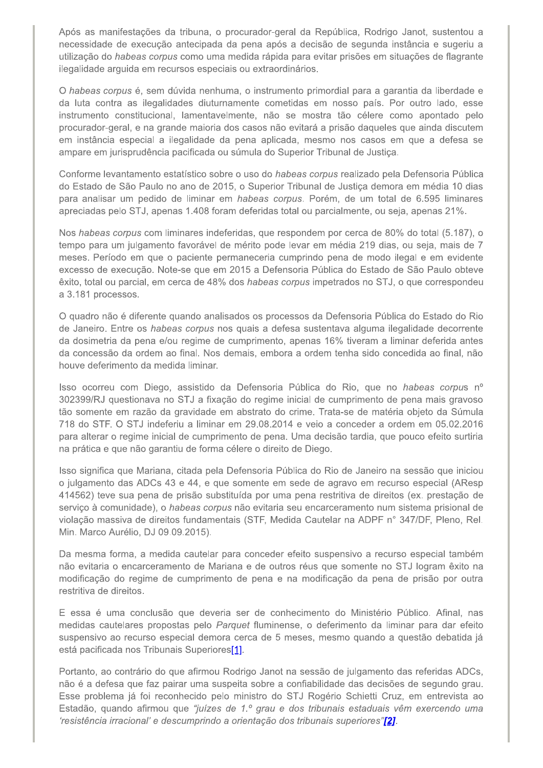Após as manifestações da tribuna, o procurador-geral da República, Rodrigo Janot, sustentou a necessidade de execução antecipada da pena após a decisão de segunda instância e sugeriu a utilização do habeas corpus como uma medida rápida para evitar prisões em situações de flagrante ilegalidade arguida em recursos especiais ou extraordinários.

O habeas corpus é, sem dúvida nenhuma, o instrumento primordial para a garantia da liberdade e da luta contra as ilegalidades diuturnamente cometidas em nosso país. Por outro lado, esse instrumento constitucional, lamentavelmente, não se mostra tão célere como apontado pelo procurador-geral, e na grande maioria dos casos não evitará a prisão daqueles que ainda discutem em instância especial a ilegalidade da pena aplicada, mesmo nos casos em que a defesa se ampare em jurisprudência pacificada ou súmula do Superior Tribunal de Justiça.

Conforme levantamento estatístico sobre o uso do habeas corpus realizado pela Defensoria Pública do Estado de São Paulo no ano de 2015, o Superior Tribunal de Justica demora em média 10 dias para analisar um pedido de liminar em habeas corpus. Porém, de um total de 6.595 liminares apreciadas pelo STJ, apenas 1.408 foram deferidas total ou parcialmente, ou seja, apenas 21%.

Nos habeas corpus com liminares indeferidas, que respondem por cerca de 80% do total (5.187), o tempo para um julgamento favorável de mérito pode levar em média 219 dias, ou seja, mais de 7 meses. Período em que o paciente permaneceria cumprindo pena de modo ilegal e em evidente excesso de execução. Note-se que em 2015 a Defensoria Pública do Estado de São Paulo obteve êxito, total ou parcial, em cerca de 48% dos habeas corpus impetrados no STJ, o que correspondeu a 3.181 processos.

O quadro não é diferente quando analisados os processos da Defensoria Pública do Estado do Rio de Janeiro. Entre os habeas corpus nos quais a defesa sustentava alguma ilegalidade decorrente da dosimetria da pena e/ou regime de cumprimento, apenas 16% tiveram a liminar deferida antes da concessão da ordem ao final. Nos demais, embora a ordem tenha sido concedida ao final, não houve deferimento da medida liminar.

Isso ocorreu com Diego, assistido da Defensoria Pública do Rio, que no habeas corpus nº 302399/RJ questionava no STJ a fixação do regime inicial de cumprimento de pena mais gravoso tão somente em razão da gravidade em abstrato do crime. Trata-se de matéria objeto da Súmula 718 do STF. O STJ indeferiu a liminar em 29.08.2014 e veio a conceder a ordem em 05.02.2016 para alterar o regime inicial de cumprimento de pena. Uma decisão tardia, que pouco efeito surtiria na prática e que não garantiu de forma célere o direito de Diego.

Isso significa que Mariana, citada pela Defensoria Pública do Rio de Janeiro na sessão que iniciou o julgamento das ADCs 43 e 44, e que somente em sede de agravo em recurso especial (AResp 414562) teve sua pena de prisão substituída por uma pena restritiva de direitos (ex. prestação de serviço à comunidade), o habeas corpus não evitaria seu encarceramento num sistema prisional de violação massiva de direitos fundamentais (STF, Medida Cautelar na ADPF nº 347/DF, Pleno, Rel. Min. Marco Aurélio, DJ 09.09.2015).

Da mesma forma, a medida cautelar para conceder efeito suspensivo a recurso especial também não evitaria o encarceramento de Mariana e de outros réus que somente no STJ logram êxito na modificação do regime de cumprimento de pena e na modificação da pena de prisão por outra restritiva de direitos.

E essa é uma conclusão que deveria ser de conhecimento do Ministério Público. Afinal, nas medidas cautelares propostas pelo Parquet fluminense, o deferimento da liminar para dar efeito suspensivo ao recurso especial demora cerca de 5 meses, mesmo quando a questão debatida já está pacificada nos Tribunais Superiores[1].

Portanto, ao contrário do que afirmou Rodrigo Janot na sessão de julgamento das referidas ADCs, não é a defesa que faz pairar uma suspeita sobre a confiabilidade das decisões de segundo grau. Esse problema já foi reconhecido pelo ministro do STJ Rogério Schietti Cruz, em entrevista ao Estadão, quando afirmou que "juízes de 1.º grau e dos tribunais estaduais vêm exercendo uma 'resistência irracional' e descumprindo a orientação dos tribunais superiores"[2].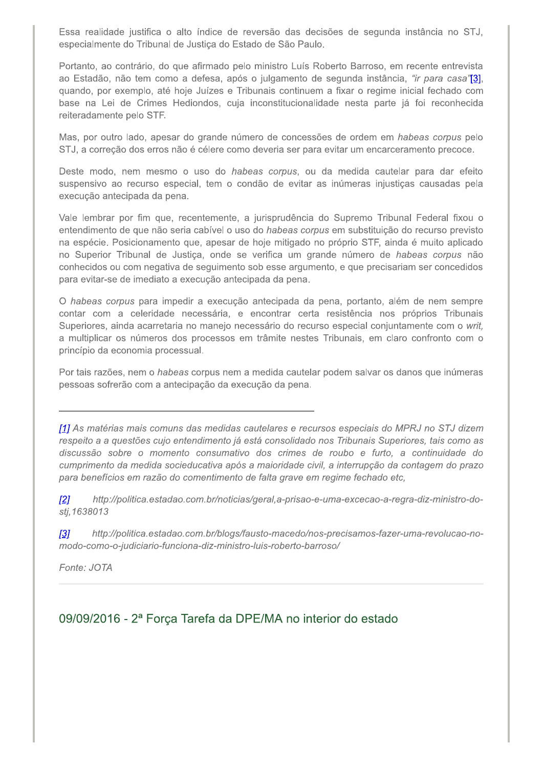Essa realidade justifica o alto índice de reversão das decisões de segunda instância no STJ, especialmente do Tribunal de Justiça do Estado de São Paulo.

Portanto, ao contrário, do que afirmado pelo ministro Luís Roberto Barroso, em recente entrevista ao Estadão, não tem como a defesa, após o julgamento de segunda instância, "ir para casa'<sup>131</sup>, quando, por exemplo, até hoje Juízes e Tribunais continuem a fixar o regime inicial fechado com base na Lei de Crimes Hediondos, cuja inconstitucionalidade nesta parte já foi reconhecida reiteradamente pelo STF.

Mas, por outro lado, apesar do grande número de concessões de ordem em habeas corpus pelo STJ, a correção dos erros não é célere como deveria ser para evitar um encarceramento precoce.

Deste modo, nem mesmo o uso do habeas corpus, ou da medida cautelar para dar efeito suspensivo ao recurso especial, tem o condão de evitar as inúmeras injustiças causadas pela execução antecipada da pena.

Vale lembrar por fim que, recentemente, a jurisprudência do Supremo Tribunal Federal fixou o entendimento de que não seria cabível o uso do habeas corpus em substituição do recurso previsto na espécie. Posicionamento que, apesar de hoje mitigado no próprio STF, ainda é muito aplicado no Superior Tribunal de Justiça, onde se verifica um grande número de habeas corpus não conhecidos ou com negativa de seguimento sob esse argumento, e que precisariam ser concedidos para evitar-se de imediato a execução antecipada da pena.

O habeas corpus para impedir a execução antecipada da pena, portanto, além de nem sempre contar com a celeridade necessária, e encontrar certa resistência nos próprios Tribunais Superiores, ainda acarretaria no manejo necessário do recurso especial conjuntamente com o writ, a multiplicar os números dos processos em trâmite nestes Tribunais, em claro confronto com o princípio da economia processual.

Por tais razões, nem o habeas corpus nem a medida cautelar podem salvar os danos que inúmeras pessoas sofrerão com a antecipação da execução da pena.

[1] As matérias mais comuns das medidas cautelares e recursos especiais do MPRJ no STJ dizem respeito a a questões cujo entendimento já está consolidado nos Tribunais Superiores, tais como as discussão sobre o momento consumativo dos crimes de roubo e furto, a continuidade do cumprimento da medida socieducativa após a maioridade civil, a interrupção da contagem do prazo para benefícios em razão do comentimento de falta grave em regime fechado etc,

 $\sqrt{2}l$ http://politica.estadao.com.br/noticias/geral,a-prisao-e-uma-excecao-a-regra-diz-ministro-dostj.1638013

http://politica.estadao.com.br/blogs/fausto-macedo/nos-precisamos-fazer-uma-revolucao-no- $\sqrt{3}$ modo-como-o-judiciario-funciona-diz-ministro-luis-roberto-barroso/

Fonte: JOTA

## 09/09/2016 - 2ª Força Tarefa da DPE/MA no interior do estado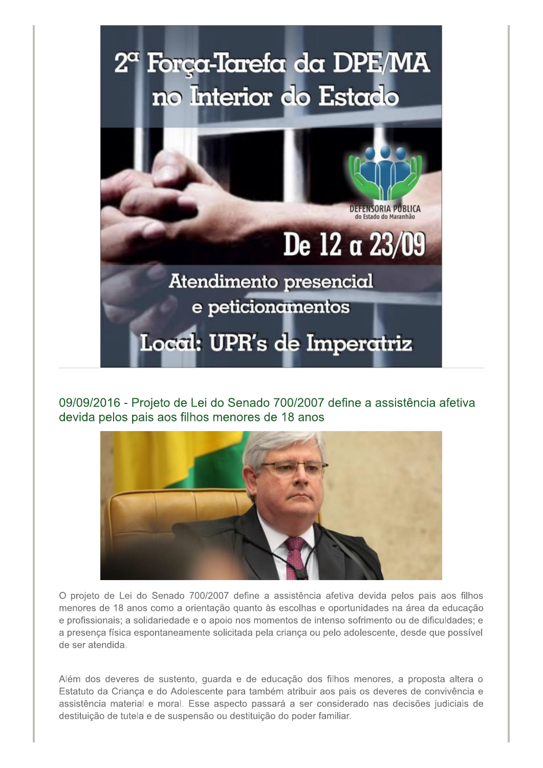

09/09/2016 - Projeto de Lei do Senado 700/2007 define a assistência afetiva devida pelos pais aos filhos menores de 18 anos



O projeto de Lei do Senado 700/2007 define a assistência afetiva devida pelos pais aos filhos menores de 18 anos como a orientação quanto às escolhas e oportunidades na área da educação e profissionais; a solidariedade e o apoio nos momentos de intenso sofrimento ou de dificuldades; e a presença física espontaneamente solicitada pela criança ou pelo adolescente, desde que possível de ser atendida.

Além dos deveres de sustento, quarda e de educação dos filhos menores, a proposta altera o Estatuto da Criança e do Adolescente para também atribuir aos pais os deveres de convivência e assistência material e moral. Esse aspecto passará a ser considerado nas decisões judiciais de destituição de tutela e de suspensão ou destituição do poder familiar.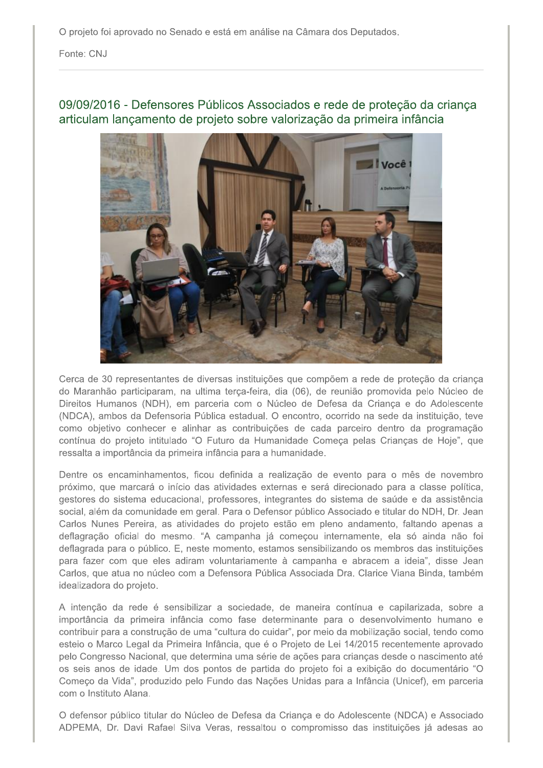O projeto foi aprovado no Senado e está em análise na Câmara dos Deputados.

Fonte: CNJ

## 09/09/2016 - Defensores Públicos Associados e rede de proteção da criança articulam lançamento de projeto sobre valorização da primeira infância



Cerca de 30 representantes de diversas instituições que compõem a rede de proteção da criança do Maranhão participaram, na ultima terça-feira, dia (06), de reunião promovida pelo Núcleo de Direitos Humanos (NDH), em parceria com o Núcleo de Defesa da Criança e do Adolescente (NDCA), ambos da Defensoria Pública estadual. O encontro, ocorrido na sede da instituição, teve como objetivo conhecer e alinhar as contribuições de cada parceiro dentro da programação contínua do projeto intitulado "O Futuro da Humanidade Começa pelas Crianças de Hoje", que ressalta a importância da primeira infância para a humanidade.

Dentre os encaminhamentos, ficou definida a realização de evento para o mês de novembro próximo, que marcará o início das atividades externas e será direcionado para a classe política, gestores do sistema educacional, professores, integrantes do sistema de saúde e da assistência social, além da comunidade em geral. Para o Defensor público Associado e titular do NDH, Dr. Jean Carlos Nunes Pereira, as atividades do projeto estão em pleno andamento, faltando apenas a deflagração oficial do mesmo. "A campanha já começou internamente, ela só ainda não foi deflagrada para o público. E, neste momento, estamos sensibilizando os membros das instituições para fazer com que eles adiram voluntariamente à campanha e abracem a ideia", disse Jean Carlos, que atua no núcleo com a Defensora Pública Associada Dra. Clarice Viana Binda, também idealizadora do projeto.

A intenção da rede é sensibilizar a sociedade, de maneira contínua e capilarizada, sobre a importância da primeira infância como fase determinante para o desenvolvimento humano e contribuir para a construção de uma "cultura do cuidar", por meio da mobilização social, tendo como esteio o Marco Legal da Primeira Infância, que é o Projeto de Lei 14/2015 recentemente aprovado pelo Congresso Nacional, que determina uma série de ações para crianças desde o nascimento até os seis anos de idade. Um dos pontos de partida do projeto foi a exibição do documentário "O Começo da Vida", produzido pelo Fundo das Nações Unidas para a Infância (Unicef), em parceria com o Instituto Alana.

O defensor público titular do Núcleo de Defesa da Criança e do Adolescente (NDCA) e Associado ADPEMA, Dr. Davi Rafael Silva Veras, ressaltou o compromisso das instituições já adesas ao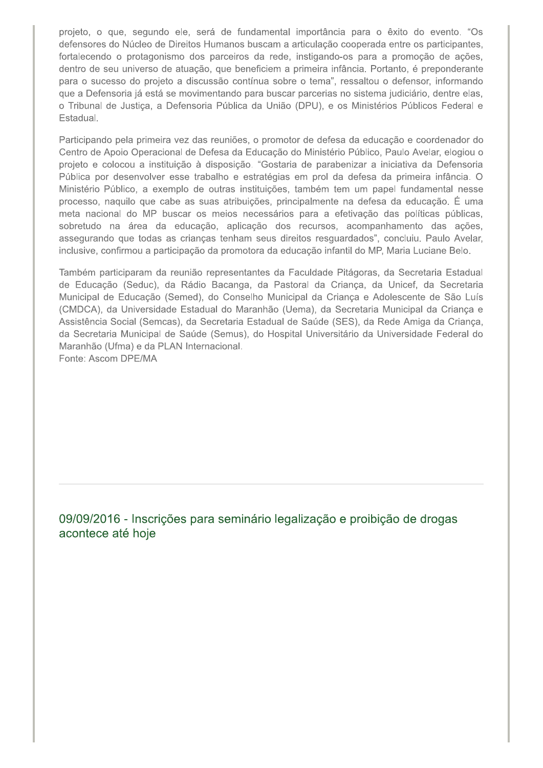projeto, o que, segundo ele, será de fundamental importância para o êxito do evento. "Os defensores do Núcleo de Direitos Humanos buscam a articulação cooperada entre os participantes, fortalecendo o protagonismo dos parceiros da rede, instigando-os para a promoção de ações, dentro de seu universo de atuação, que beneficiem a primeira infância. Portanto, é preponderante para o sucesso do projeto a discussão contínua sobre o tema", ressaltou o defensor, informando que a Defensoria já está se movimentando para buscar parcerias no sistema judiciário, dentre elas, o Tribunal de Justiça, a Defensoria Pública da União (DPU), e os Ministérios Públicos Federal e Estadual.

Participando pela primeira vez das reuniões, o promotor de defesa da educação e coordenador do Centro de Apoio Operacional de Defesa da Educação do Ministério Público, Paulo Avelar, elogiou o projeto e colocou a instituição à disposição. "Gostaria de parabenizar a iniciativa da Defensoria Pública por desenvolver esse trabalho e estratégias em prol da defesa da primeira infância. O Ministério Público, a exemplo de outras instituições, também tem um papel fundamental nesse processo, naquilo que cabe as suas atribuições, principalmente na defesa da educação. É uma meta nacional do MP buscar os meios necessários para a efetivação das políticas públicas, sobretudo na área da educação, aplicação dos recursos, acompanhamento das ações, assegurando que todas as crianças tenham seus direitos resguardados", concluiu. Paulo Avelar, inclusive, confirmou a participação da promotora da educação infantil do MP, Maria Luciane Belo.

Também participaram da reunião representantes da Faculdade Pitágoras, da Secretaria Estadual de Educação (Seduc), da Rádio Bacanga, da Pastoral da Criança, da Unicef, da Secretaria Municipal de Educação (Semed), do Conselho Municipal da Criança e Adolescente de São Luís (CMDCA), da Universidade Estadual do Maranhão (Uema), da Secretaria Municipal da Criança e Assistência Social (Semcas), da Secretaria Estadual de Saúde (SES), da Rede Amiga da Criança, da Secretaria Municipal de Saúde (Semus), do Hospital Universitário da Universidade Federal do Maranhão (Ufma) e da PLAN Internacional.

Fonte: Ascom DPE/MA

09/09/2016 - Inscrições para seminário legalização e proibição de drogas acontece até hoje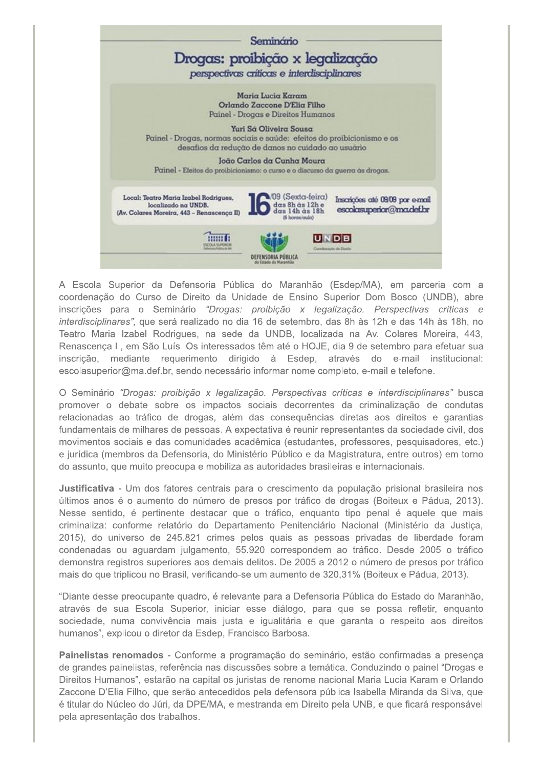

A Escola Superior da Defensoria Pública do Maranhão (Esdep/MA), em parceria com a coordenação do Curso de Direito da Unidade de Ensino Superior Dom Bosco (UNDB), abre inscrições para o Seminário "Drogas: proibição x legalização. Perspectivas críticas e interdisciplinares", que será realizado no dia 16 de setembro, das 8h às 12h e das 14h às 18h, no Teatro Maria Izabel Rodrigues, na sede da UNDB, localizada na Av. Colares Moreira, 443, Renascença II, em São Luís. Os interessados têm até o HOJE, dia 9 de setembro para efetuar sua inscrição, mediante requerimento dirigido à Esdep, através do e-mail institucional: escolasuperior@ma.def.br, sendo necessário informar nome completo, e-mail e telefone.

O Seminário "Drogas: proibição x legalização. Perspectivas críticas e interdisciplinares" busca promover o debate sobre os impactos sociais decorrentes da criminalização de condutas relacionadas ao tráfico de drogas, além das consequências diretas aos direitos e garantias fundamentais de milhares de pessoas. A expectativa é reunir representantes da sociedade civil, dos movimentos sociais e das comunidades acadêmica (estudantes, professores, pesquisadores, etc.) e jurídica (membros da Defensoria, do Ministério Público e da Magistratura, entre outros) em torno do assunto, que muito preocupa e mobiliza as autoridades brasileiras e internacionais.

Justificativa - Um dos fatores centrais para o crescimento da população prisional brasileira nos últimos anos é o aumento do número de presos por tráfico de drogas (Boiteux e Pádua, 2013). Nesse sentido, é pertinente destacar que o tráfico, enquanto tipo penal é aquele que mais criminaliza: conforme relatório do Departamento Penitenciário Nacional (Ministério da Justica, 2015), do universo de 245.821 crimes pelos quais as pessoas privadas de liberdade foram condenadas ou aguardam julgamento, 55.920 correspondem ao tráfico. Desde 2005 o tráfico demonstra registros superiores aos demais delitos. De 2005 a 2012 o número de presos por tráfico mais do que triplicou no Brasil, verificando-se um aumento de 320,31% (Boiteux e Pádua, 2013).

"Diante desse preocupante quadro, é relevante para a Defensoria Pública do Estado do Maranhão, através de sua Escola Superior, iniciar esse diálogo, para que se possa refletir, enquanto sociedade, numa convivência mais justa e igualitária e que garanta o respeito aos direitos humanos", explicou o diretor da Esdep, Francisco Barbosa.

Painelistas renomados - Conforme a programação do seminário, estão confirmadas a presença de grandes painelistas, referência nas discussões sobre a temática. Conduzindo o painel "Drogas e Direitos Humanos", estarão na capital os juristas de renome nacional Maria Lucia Karam e Orlando Zaccone D'Elia Filho, que serão antecedidos pela defensora pública Isabella Miranda da Silva, que é titular do Núcleo do Júri, da DPE/MA, e mestranda em Direito pela UNB, e que ficará responsável pela apresentação dos trabalhos.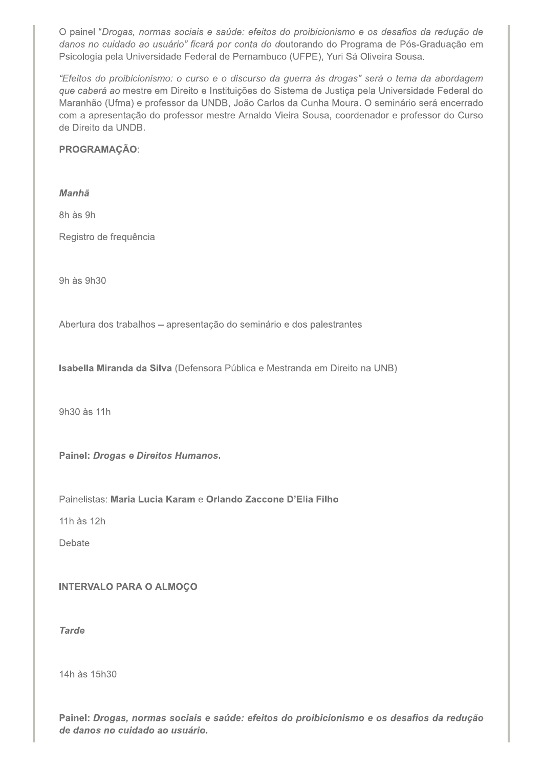O painel "Drogas, normas sociais e saúde: efeitos do proibicionismo e os desafios da redução de danos no cuidado ao usuário" ficará por conta do doutorando do Programa de Pós-Graduação em Psicologia pela Universidade Federal de Pernambuco (UFPE), Yuri Sá Oliveira Sousa.

"Efeitos do proibicionismo: o curso e o discurso da guerra às drogas" será o tema da abordagem que caberá ao mestre em Direito e Instituições do Sistema de Justiça pela Universidade Federal do Maranhão (Ufma) e professor da UNDB, João Carlos da Cunha Moura. O seminário será encerrado com a apresentação do professor mestre Arnaldo Vieira Sousa, coordenador e professor do Curso de Direito da UNDB.

#### PROGRAMAÇÃO:

#### Manhã

8h às 9h

Registro de frequência

9h às 9h30

Abertura dos trabalhos - apresentação do seminário e dos palestrantes

Isabella Miranda da Silva (Defensora Pública e Mestranda em Direito na UNB)

9h30 às 11h

Painel: Drogas e Direitos Humanos.

Painelistas: Maria Lucia Karam e Orlando Zaccone D'Elia Filho

11h às 12h

Debate

#### **INTERVALO PARA O ALMOÇO**

**Tarde** 

14h às 15h30

Painel: Drogas, normas sociais e saúde: efeitos do proibicionismo e os desafios da redução de danos no cuidado ao usuário.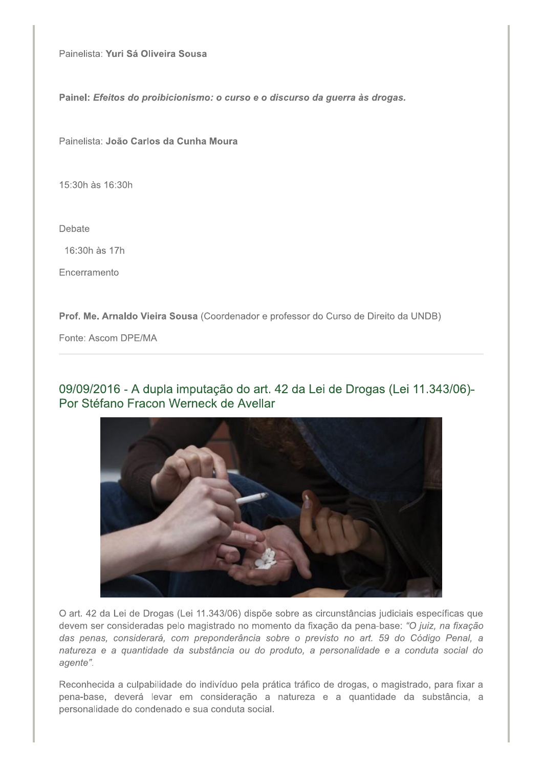Painelista: Yuri Sá Oliveira Sousa

Painel: Efeitos do proibicionismo: o curso e o discurso da guerra às drogas.

Painelista: João Carlos da Cunha Moura

15:30h às 16:30h

Debate

16:30h às 17h

Encerramento

Prof. Me. Arnaldo Vieira Sousa (Coordenador e professor do Curso de Direito da UNDB)

Fonte: Ascom DPE/MA

09/09/2016 - A dupla imputação do art. 42 da Lei de Drogas (Lei 11.343/06)-Por Stéfano Fracon Werneck de Avellar



O art. 42 da Lei de Drogas (Lei 11.343/06) dispõe sobre as circunstâncias judiciais específicas que devem ser consideradas pelo magistrado no momento da fixação da pena-base: "O juiz, na fixação das penas, considerará, com preponderância sobre o previsto no art. 59 do Código Penal, a natureza e a quantidade da substância ou do produto, a personalidade e a conduta social do agente".

Reconhecida a culpabilidade do indivíduo pela prática tráfico de drogas, o magistrado, para fixar a pena-base, deverá levar em consideração a natureza e a quantidade da substância, a personalidade do condenado e sua conduta social.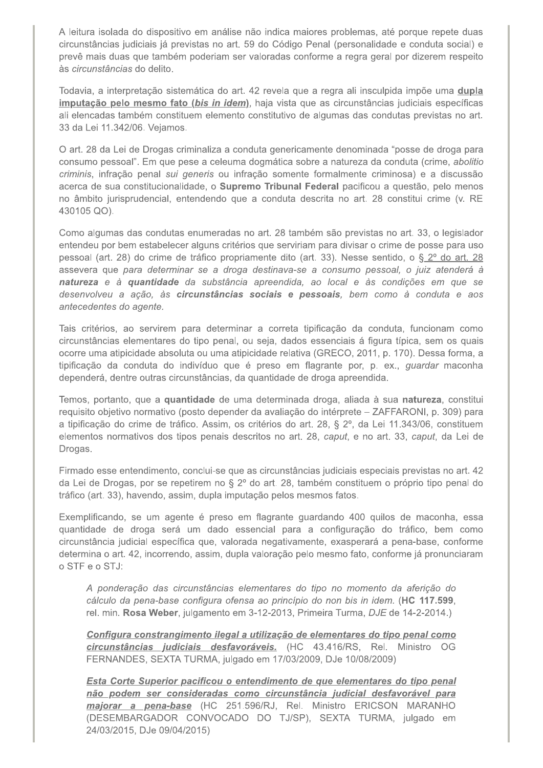A leitura isolada do dispositivo em análise não indica maiores problemas, até porque repete duas circunstâncias judiciais já previstas no art. 59 do Código Penal (personalidade e conduta social) e prevê mais duas que também poderiam ser valoradas conforme a regra geral por dizerem respeito às circunstâncias do delito.

Todavia, a interpretação sistemática do art. 42 revela que a regra ali insculpida impõe uma dupla imputação pelo mesmo fato (bis in idem), haja vista que as circunstâncias judiciais específicas ali elencadas também constituem elemento constitutivo de algumas das condutas previstas no art. 33 da Lei 11.342/06. Vejamos.

O art. 28 da Lei de Drogas criminaliza a conduta genericamente denominada "posse de droga para consumo pessoal". Em que pese a celeuma dogmática sobre a natureza da conduta (crime, abolitio criminis, infração penal sui generis ou infração somente formalmente criminosa) e a discussão acerca de sua constitucionalidade, o Supremo Tribunal Federal pacificou a questão, pelo menos no âmbito jurisprudencial, entendendo que a conduta descrita no art. 28 constitui crime (v. RE 430105 QO).

Como algumas das condutas enumeradas no art. 28 também são previstas no art. 33, o legislador entendeu por bem estabelecer alguns critérios que serviriam para divisar o crime de posse para uso pessoal (art. 28) do crime de tráfico propriamente dito (art. 33). Nesse sentido, o § 2º do art. 28 assevera que para determinar se a droga destinava-se a consumo pessoal, o juiz atenderá à natureza e à quantidade da substância apreendida, ao local e às condições em que se desenvolveu a ação, às circunstâncias sociais e pessoais, bem como à conduta e aos antecedentes do agente.

Tais critérios, ao servirem para determinar a correta tipificação da conduta, funcionam como circunstâncias elementares do tipo penal, ou seja, dados essenciais á figura típica, sem os quais ocorre uma atipicidade absoluta ou uma atipicidade relativa (GRECO, 2011, p. 170). Dessa forma, a tipificação da conduta do indivíduo que é preso em flagrante por, p. ex., quardar maconha dependerá, dentre outras circunstâncias, da quantidade de droga apreendida.

Temos, portanto, que a quantidade de uma determinada droga, aliada à sua natureza, constitui requisito objetivo normativo (posto depender da avaliação do intérprete - ZAFFARONI, p. 309) para a tipificação do crime de tráfico. Assim, os critérios do art. 28, § 2º, da Lei 11.343/06, constituem elementos normativos dos tipos penais descritos no art. 28, caput, e no art. 33, caput, da Lei de Drogas.

Firmado esse entendimento, conclui-se que as circunstâncias judiciais especiais previstas no art. 42 da Lei de Drogas, por se repetirem no § 2º do art. 28, também constituem o próprio tipo penal do tráfico (art. 33), havendo, assim, dupla imputação pelos mesmos fatos.

Exemplificando, se um agente é preso em flagrante guardando 400 guilos de maconha, essa quantidade de droga será um dado essencial para a configuração do tráfico, bem como circunstância judicial específica que, valorada negativamente, exasperará a pena-base, conforme determina o art. 42, incorrendo, assim, dupla valoração pelo mesmo fato, conforme já pronunciaram o STF e o STJ:

A ponderação das circunstâncias elementares do tipo no momento da aferição do cálculo da pena-base configura ofensa ao princípio do non bis in idem. (HC 117.599, rel. min. Rosa Weber, julgamento em 3-12-2013, Primeira Turma, DJE de 14-2-2014.)

Configura constrangimento ilegal a utilização de elementares do tipo penal como circunstâncias judiciais desfavoráveis. (HC 43.416/RS, Rel. Ministro OG FERNANDES, SEXTA TURMA, julgado em 17/03/2009, DJe 10/08/2009)

Esta Corte Superior pacificou o entendimento de que elementares do tipo penal não podem ser consideradas como circunstância judicial desfavorável para majorar a pena-base (HC 251.596/RJ, Rel. Ministro ERICSON MARANHO (DESEMBARGADOR CONVOCADO DO TJ/SP), SEXTA TURMA, julgado em 24/03/2015, DJe 09/04/2015)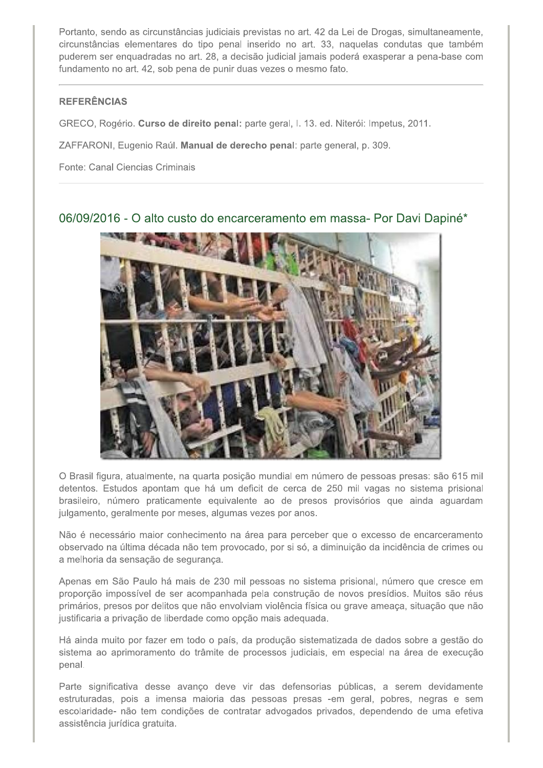Portanto, sendo as circunstâncias judiciais previstas no art. 42 da Lei de Drogas, simultaneamente, circunstâncias elementares do tipo penal inserido no art. 33, naquelas condutas que também puderem ser enquadradas no art. 28, a decisão judicial jamais poderá exasperar a pena-base com fundamento no art. 42, sob pena de punir duas vezes o mesmo fato.

#### **REFERÊNCIAS**

GRECO, Rogério. Curso de direito penal: parte geral, I. 13. ed. Niterói: Impetus, 2011.

ZAFFARONI, Eugenio Raúl. Manual de derecho penal: parte general, p. 309.

Fonte: Canal Ciencias Criminais

## 06/09/2016 - O alto custo do encarceramento em massa- Por Davi Dapiné\*



O Brasil figura, atualmente, na quarta posição mundial em número de pessoas presas: são 615 mil detentos. Estudos apontam que há um deficit de cerca de 250 mil vagas no sistema prisional brasileiro, número praticamente equivalente ao de presos provisórios que ainda aguardam julgamento, geralmente por meses, algumas vezes por anos.

Não é necessário maior conhecimento na área para perceber que o excesso de encarceramento observado na última década não tem provocado, por si só, a diminuição da incidência de crimes ou a melhoria da sensação de segurança.

Apenas em São Paulo há mais de 230 mil pessoas no sistema prisional, número que cresce em proporção impossível de ser acompanhada pela construção de novos presídios. Muitos são réus primários, presos por delitos que não envolviam violência física ou grave ameaça, situação que não justificaria a privação de liberdade como opção mais adequada.

Há ainda muito por fazer em todo o país, da produção sistematizada de dados sobre a gestão do sistema ao aprimoramento do trâmite de processos judiciais, em especial na área de execução penal.

Parte significativa desse avanço deve vir das defensorias públicas, a serem devidamente estruturadas, pois a imensa maioria das pessoas presas -em geral, pobres, negras e sem escolaridade- não tem condições de contratar advogados privados, dependendo de uma efetiva assistência jurídica gratuita.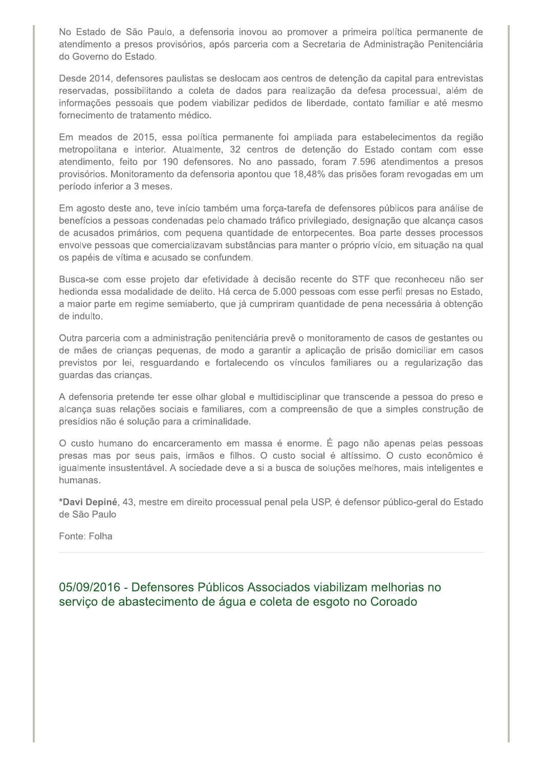No Estado de São Paulo, a defensoria inovou ao promover a primeira política permanente de atendimento a presos provisórios, após parceria com a Secretaria de Administração Penitenciária do Governo do Estado.

Desde 2014, defensores paulistas se deslocam aos centros de detenção da capital para entrevistas reservadas, possibilitando a coleta de dados para realização da defesa processual, além de informações pessoais que podem viabilizar pedidos de liberdade, contato familiar e até mesmo fornecimento de tratamento médico.

Em meados de 2015, essa política permanente foi ampliada para estabelecimentos da região metropolitana e interior. Atualmente, 32 centros de detenção do Estado contam com esse atendimento, feito por 190 defensores. No ano passado, foram 7.596 atendimentos a presos provisórios. Monitoramento da defensoria apontou que 18,48% das prisões foram revogadas em um período inferior a 3 meses.

Em agosto deste ano, teve início também uma força-tarefa de defensores públicos para análise de benefícios a pessoas condenadas pelo chamado tráfico privilegiado, designação que alcança casos de acusados primários, com pequena quantidade de entorpecentes. Boa parte desses processos envolve pessoas que comercializavam substâncias para manter o próprio vício, em situação na qual os papéis de vítima e acusado se confundem.

Busca-se com esse projeto dar efetividade à decisão recente do STF que reconheceu não ser hedionda essa modalidade de delito. Há cerca de 5.000 pessoas com esse perfil presas no Estado, a maior parte em regime semiaberto, que já cumpriram quantidade de pena necessária à obtenção de indulto.

Outra parceria com a administração penitenciária prevê o monitoramento de casos de gestantes ou de mães de crianças pequenas, de modo a garantir a aplicação de prisão domiciliar em casos previstos por lei, resguardando e fortalecendo os vínculos familiares ou a regularização das quardas das criancas.

A defensoria pretende ter esse olhar global e multidisciplinar que transcende a pessoa do preso e alcança suas relações sociais e familiares, com a compreensão de que a simples construção de presídios não é solução para a criminalidade.

O custo humano do encarceramento em massa é enorme. É pago não apenas pelas pessoas presas mas por seus pais, irmãos e filhos. O custo social é altíssimo. O custo econômico é igualmente insustentável. A sociedade deve a si a busca de soluções melhores, mais inteligentes e humanas.

\*Davi Depiné, 43, mestre em direito processual penal pela USP, é defensor público-geral do Estado de São Paulo

Fonte: Folha

05/09/2016 - Defensores Públicos Associados viabilizam melhorias no serviço de abastecimento de água e coleta de esgoto no Coroado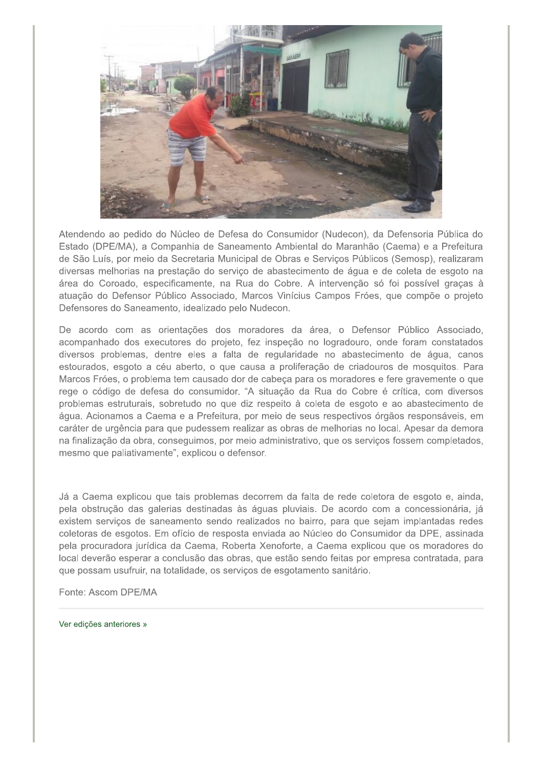

Atendendo ao pedido do Núcleo de Defesa do Consumidor (Nudecon), da Defensoria Pública do Estado (DPE/MA), a Companhia de Saneamento Ambiental do Maranhão (Caema) e a Prefeitura de São Luís, por meio da Secretaria Municipal de Obras e Serviços Públicos (Semosp), realizaram diversas melhorias na prestação do serviço de abastecimento de água e de coleta de esgoto na área do Coroado, especificamente, na Rua do Cobre. A intervenção só foi possível graças à atuação do Defensor Público Associado, Marcos Vinícius Campos Fróes, que compõe o projeto Defensores do Saneamento, idealizado pelo Nudecon.

De acordo com as orientações dos moradores da área, o Defensor Público Associado, acompanhado dos executores do projeto, fez inspeção no logradouro, onde foram constatados diversos problemas, dentre eles a falta de regularidade no abastecimento de água, canos estourados, esgoto a céu aberto, o que causa a proliferação de criadouros de mosquitos. Para Marcos Fróes, o problema tem causado dor de cabeça para os moradores e fere gravemente o que rege o código de defesa do consumidor. "A situação da Rua do Cobre é crítica, com diversos problemas estruturais, sobretudo no que diz respeito à coleta de esgoto e ao abastecimento de água. Acionamos a Caema e a Prefeitura, por meio de seus respectivos órgãos responsáveis, em caráter de urgência para que pudessem realizar as obras de melhorias no local. Apesar da demora na finalização da obra, conseguimos, por meio administrativo, que os serviços fossem completados, mesmo que paliativamente", explicou o defensor.

Já a Caema explicou que tais problemas decorrem da falta de rede coletora de esgoto e, ainda, pela obstrução das galerias destinadas às águas pluviais. De acordo com a concessionária, já existem serviços de saneamento sendo realizados no bairro, para que sejam implantadas redes coletoras de esgotos. Em ofício de resposta enviada ao Núcleo do Consumidor da DPE, assinada pela procuradora jurídica da Caema, Roberta Xenoforte, a Caema explicou que os moradores do local deverão esperar a conclusão das obras, que estão sendo feitas por empresa contratada, para que possam usufruir, na totalidade, os serviços de esgotamento sanitário.

Fonte: Ascom DPE/MA

Ver edições anteriores »